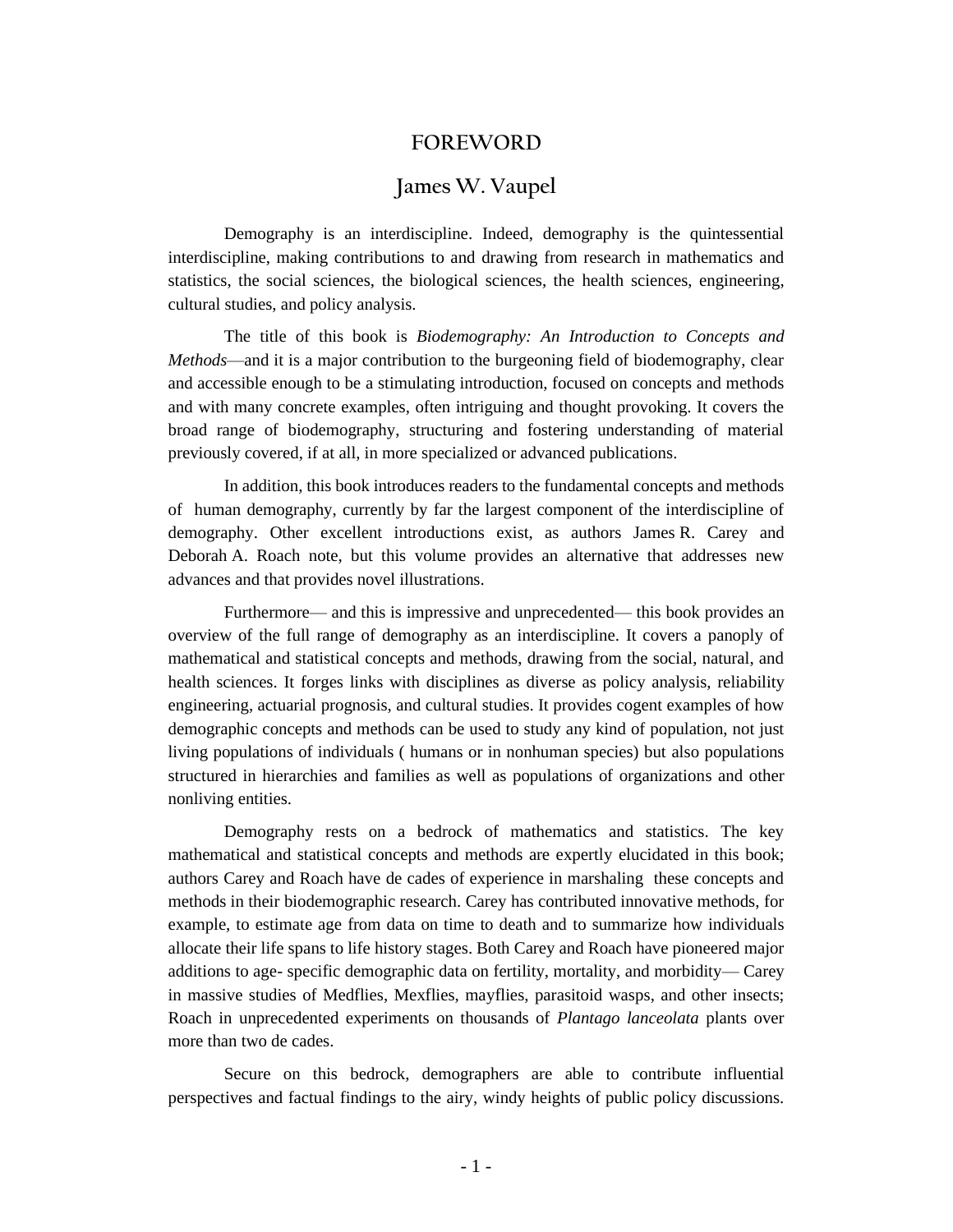## **FOREWORD**

## **James W. Vaupel**

Demography is an interdiscipline. Indeed, demography is the quintessential interdiscipline, making contributions to and drawing from research in mathematics and statistics, the social sciences, the biological sciences, the health sciences, engineering, cultural studies, and policy analysis.

The title of this book is *Biodemography: An Introduction to Concepts and Methods*—and it is a major contribution to the burgeoning field of biodemography, clear and accessible enough to be a stimulating introduction, focused on concepts and methods and with many concrete examples, often intriguing and thought provoking. It covers the broad range of biodemography, structuring and fostering understanding of material previously covered, if at all, in more specialized or advanced publications.

In addition, this book introduces readers to the fundamental concepts and methods of human demography, currently by far the largest component of the interdiscipline of demography. Other excellent introductions exist, as authors James R. Carey and Deborah A. Roach note, but this volume provides an alternative that addresses new advances and that provides novel illustrations.

Furthermore— and this is impressive and unprecedented— this book provides an overview of the full range of demography as an interdiscipline. It covers a panoply of mathematical and statistical concepts and methods, drawing from the social, natural, and health sciences. It forges links with disciplines as diverse as policy analysis, reliability engineering, actuarial prognosis, and cultural studies. It provides cogent examples of how demographic concepts and methods can be used to study any kind of population, not just living populations of individuals ( humans or in nonhuman species) but also populations structured in hierarchies and families as well as populations of organizations and other nonliving entities.

Demography rests on a bedrock of mathematics and statistics. The key mathematical and statistical concepts and methods are expertly elucidated in this book; authors Carey and Roach have de cades of experience in marshaling these concepts and methods in their biodemographic research. Carey has contributed innovative methods, for example, to estimate age from data on time to death and to summarize how individuals allocate their life spans to life history stages. Both Carey and Roach have pioneered major additions to age- specific demographic data on fertility, mortality, and morbidity— Carey in massive studies of Medflies, Mexflies, mayflies, parasitoid wasps, and other insects; Roach in unprecedented experiments on thousands of *Plantago lanceolata* plants over more than two de cades.

Secure on this bedrock, demographers are able to contribute influential perspectives and factual findings to the airy, windy heights of public policy discussions.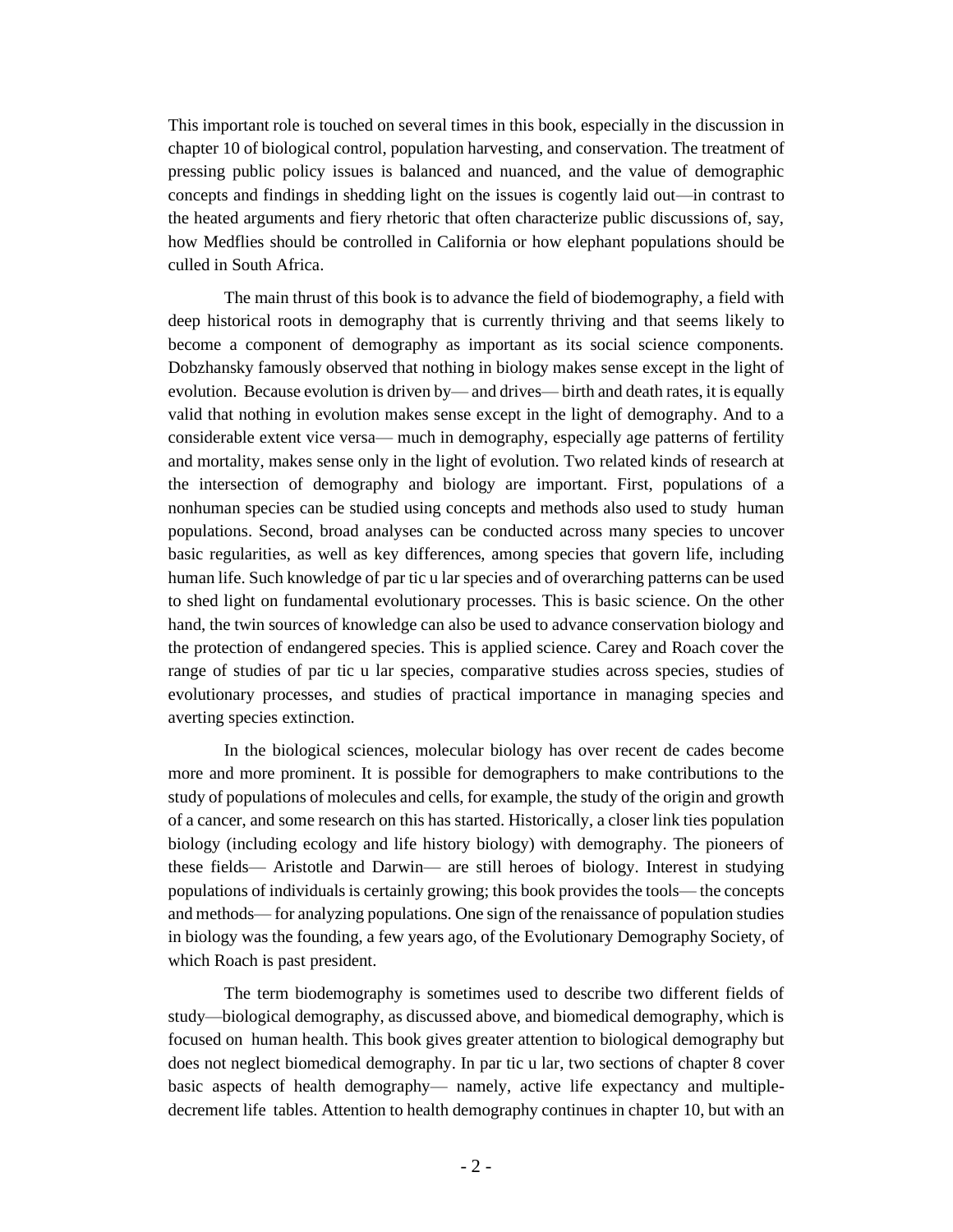This important role is touched on several times in this book, especially in the discussion in chapter 10 of biological control, population harvesting, and conservation. The treatment of pressing public policy issues is balanced and nuanced, and the value of demographic concepts and findings in shedding light on the issues is cogently laid out—in contrast to the heated arguments and fiery rhetoric that often characterize public discussions of, say, how Medflies should be controlled in California or how elephant populations should be culled in South Africa.

The main thrust of this book is to advance the field of biodemography, a field with deep historical roots in demography that is currently thriving and that seems likely to become a component of demography as important as its social science components. Dobzhansky famously observed that nothing in biology makes sense except in the light of evolution. Because evolution is driven by— and drives— birth and death rates, it is equally valid that nothing in evolution makes sense except in the light of demography. And to a considerable extent vice versa— much in demography, especially age patterns of fertility and mortality, makes sense only in the light of evolution. Two related kinds of research at the intersection of demography and biology are important. First, populations of a nonhuman species can be studied using concepts and methods also used to study human populations. Second, broad analyses can be conducted across many species to uncover basic regularities, as well as key differences, among species that govern life, including human life. Such knowledge of par tic u lar species and of overarching patterns can be used to shed light on fundamental evolutionary processes. This is basic science. On the other hand, the twin sources of knowledge can also be used to advance conservation biology and the protection of endangered species. This is applied science. Carey and Roach cover the range of studies of par tic u lar species, comparative studies across species, studies of evolutionary processes, and studies of practical importance in managing species and averting species extinction.

In the biological sciences, molecular biology has over recent de cades become more and more prominent. It is possible for demographers to make contributions to the study of populations of molecules and cells, for example, the study of the origin and growth of a cancer, and some research on this has started. Historically, a closer link ties population biology (including ecology and life history biology) with demography. The pioneers of these fields— Aristotle and Darwin— are still heroes of biology. Interest in studying populations of individuals is certainly growing; this book provides the tools— the concepts and methods— for analyzing populations. One sign of the renaissance of population studies in biology was the founding, a few years ago, of the Evolutionary Demography Society, of which Roach is past president.

The term biodemography is sometimes used to describe two different fields of study—biological demography, as discussed above, and biomedical demography, which is focused on human health. This book gives greater attention to biological demography but does not neglect biomedical demography. In par tic u lar, two sections of chapter 8 cover basic aspects of health demography— namely, active life expectancy and multipledecrement life tables. Attention to health demography continues in chapter 10, but with an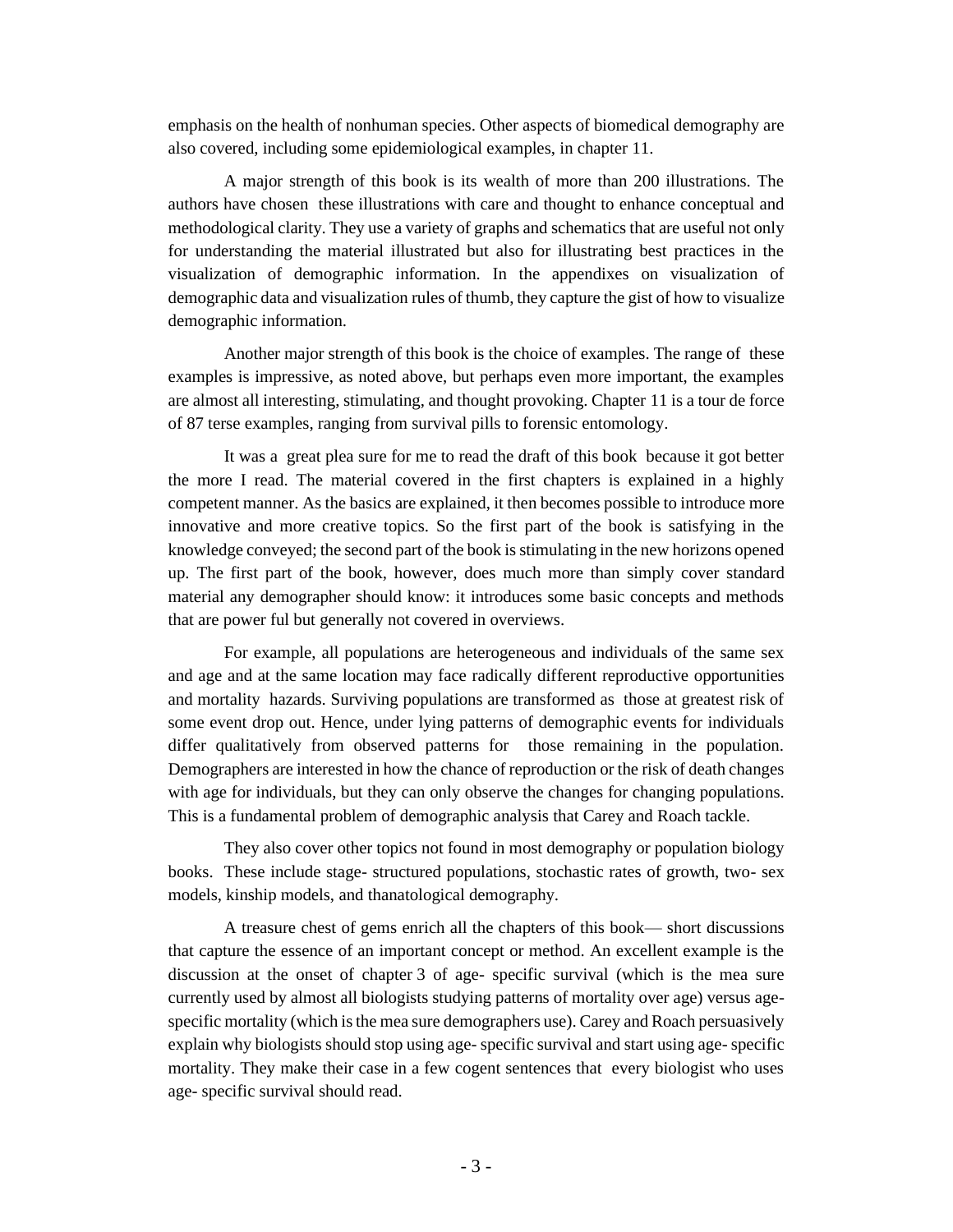emphasis on the health of nonhuman species. Other aspects of biomedical demography are also covered, including some epidemiological examples, in chapter 11.

A major strength of this book is its wealth of more than 200 illustrations. The authors have chosen these illustrations with care and thought to enhance conceptual and methodological clarity. They use a variety of graphs and schematics that are useful not only for understanding the material illustrated but also for illustrating best practices in the visualization of demographic information. In the appendixes on visualization of demographic data and visualization rules of thumb, they capture the gist of how to visualize demographic information.

Another major strength of this book is the choice of examples. The range of these examples is impressive, as noted above, but perhaps even more important, the examples are almost all interesting, stimulating, and thought provoking. Chapter 11 is a tour de force of 87 terse examples, ranging from survival pills to forensic entomology.

It was a great plea sure for me to read the draft of this book because it got better the more I read. The material covered in the first chapters is explained in a highly competent manner. As the basics are explained, it then becomes possible to introduce more innovative and more creative topics. So the first part of the book is satisfying in the knowledge conveyed; the second part of the book is stimulating in the new horizons opened up. The first part of the book, however, does much more than simply cover standard material any demographer should know: it introduces some basic concepts and methods that are power ful but generally not covered in overviews.

For example, all populations are heterogeneous and individuals of the same sex and age and at the same location may face radically different reproductive opportunities and mortality hazards. Surviving populations are transformed as those at greatest risk of some event drop out. Hence, under lying patterns of demographic events for individuals differ qualitatively from observed patterns for those remaining in the population. Demographers are interested in how the chance of reproduction or the risk of death changes with age for individuals, but they can only observe the changes for changing populations. This is a fundamental problem of demographic analysis that Carey and Roach tackle.

They also cover other topics not found in most demography or population biology books. These include stage- structured populations, stochastic rates of growth, two- sex models, kinship models, and thanatological demography.

A treasure chest of gems enrich all the chapters of this book— short discussions that capture the essence of an important concept or method. An excellent example is the discussion at the onset of chapter 3 of age- specific survival (which is the mea sure currently used by almost all biologists studying patterns of mortality over age) versus agespecific mortality (which is the mea sure demographers use). Carey and Roach persuasively explain why biologists should stop using age- specific survival and start using age- specific mortality. They make their case in a few cogent sentences that every biologist who uses age- specific survival should read.